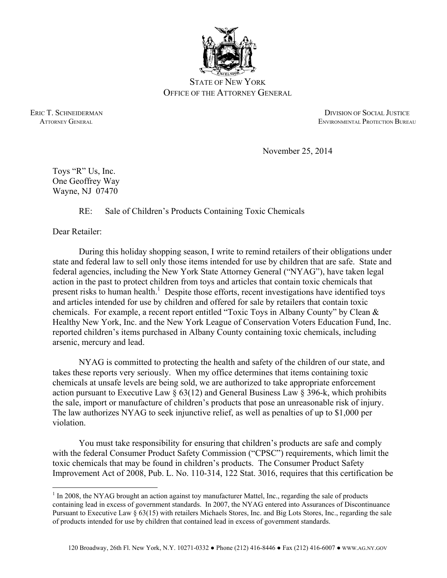

STATE OF NEW YORK OFFICE OF THE ATTORNEY GENERAL

ERIC T. SCHNEIDERMAN DIVISION OF SOCIAL JUSTICE ATTORNEY GENERAL ENVIRONMENTAL PROTECTION BUREAU

November 25, 2014

Toys "R" Us, Inc. One Geoffrey Way Wayne, NJ 07470

RE: Sale of Children's Products Containing Toxic Chemicals

Dear Retailer:

 $\overline{a}$ 

 During this holiday shopping season, I write to remind retailers of their obligations under state and federal law to sell only those items intended for use by children that are safe. State and federal agencies, including the New York State Attorney General ("NYAG"), have taken legal action in the past to protect children from toys and articles that contain toxic chemicals that present risks to human health.<sup>1</sup> Despite those efforts, recent investigations have identified toys and articles intended for use by children and offered for sale by retailers that contain toxic chemicals. For example, a recent report entitled "Toxic Toys in Albany County" by Clean & Healthy New York, Inc. and the New York League of Conservation Voters Education Fund, Inc. reported children's items purchased in Albany County containing toxic chemicals, including arsenic, mercury and lead.

 NYAG is committed to protecting the health and safety of the children of our state, and takes these reports very seriously. When my office determines that items containing toxic chemicals at unsafe levels are being sold, we are authorized to take appropriate enforcement action pursuant to Executive Law  $\S 63(12)$  and General Business Law  $\S 396$ -k, which prohibits the sale, import or manufacture of children's products that pose an unreasonable risk of injury. The law authorizes NYAG to seek injunctive relief, as well as penalties of up to \$1,000 per violation.

 You must take responsibility for ensuring that children's products are safe and comply with the federal Consumer Product Safety Commission ("CPSC") requirements, which limit the toxic chemicals that may be found in children's products. The Consumer Product Safety Improvement Act of 2008, Pub. L. No. 110-314, 122 Stat. 3016, requires that this certification be

 $<sup>1</sup>$  In 2008, the NYAG brought an action against toy manufacturer Mattel, Inc., regarding the sale of products</sup> containing lead in excess of government standards. In 2007, the NYAG entered into Assurances of Discontinuance Pursuant to Executive Law § 63(15) with retailers Michaels Stores, Inc. and Big Lots Stores, Inc., regarding the sale of products intended for use by children that contained lead in excess of government standards.